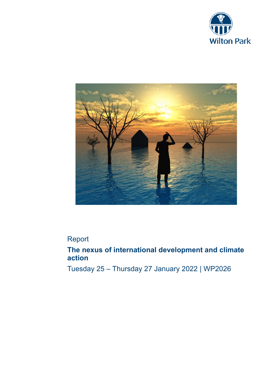



# Report

# **The nexus of international development and climate action**

Tuesday 25 – Thursday 27 January 2022 | WP2026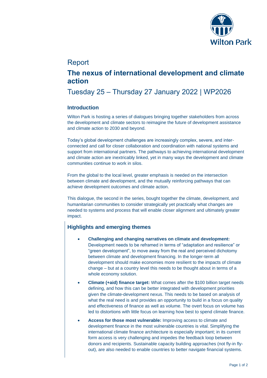

# Report

# **The nexus of international development and climate action**

# Tuesday 25 – Thursday 27 January 2022 | WP2026

## **Introduction**

Wilton Park is hosting a series of dialogues bringing together stakeholders from across the development and climate sectors to reimagine the future of development assistance and climate action to 2030 and beyond.

Today's global development challenges are increasingly complex, severe, and interconnected and call for closer collaboration and coordination with national systems and support from international partners. The pathways to achieving international development and climate action are inextricably linked, yet in many ways the development and climate communities continue to work in silos.

From the global to the local level, greater emphasis is needed on the intersection between climate and development, and the mutually reinforcing pathways that can achieve development outcomes and climate action.

This dialogue, the second in the series, bought together the climate, development, and humanitarian communities to consider strategically yet practically what changes are needed to systems and process that will enable closer alignment and ultimately greater impact.

# **Highlights and emerging themes**

- **Challenging and changing narratives on climate and development:** Development needs to be reframed in terms of "adaptation and resilience" or "green development", to move away from the real and perceived dichotomy between climate and development financing. In the longer-term all development should make economies more resilient to the impacts of climate change – but at a country level this needs to be thought about in terms of a whole economy solution.
- **Climate (+aid) finance target:** What comes after the \$100 billion target needs defining, and how this can be better integrated with development priorities given the climate-development nexus. This needs to be based on analysis of what the real need is and provides an opportunity to build in a focus on quality and effectiveness of finance as well as volume. The overt focus on volume has led to distortions with little focus on learning how best to spend climate finance.
- **Access for those most vulnerable:** Improving access to climate and development finance in the most vulnerable countries is vital. Simplifying the international climate finance architecture is especially important; in its current form access is very challenging and impedes the feedback loop between donors and recipients. Sustainable capacity building approaches (not fly-in flyout), are also needed to enable countries to better navigate financial systems.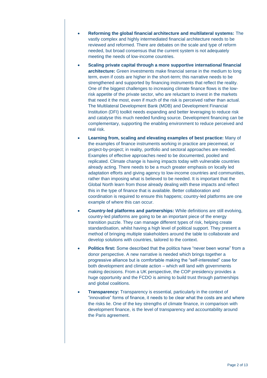- **Reforming the global financial architecture and multilateral systems:** The vastly complex and highly intermediated financial architecture needs to be reviewed and reformed. There are debates on the scale and type of reform needed, but broad consensus that the current system is not adequately meeting the needs of low-income countries.
- **Scaling private capital through a more supportive international financial architecture:** Green investments make financial sense in the medium to long term, even if costs are higher in the short-term; this narrative needs to be strengthened and supported by financing instruments that reflect the reality. One of the biggest challenges to increasing climate finance flows is the lowrisk appetite of the private sector, who are reluctant to invest in the markets that need it the most, even if much of the risk is perceived rather than actual. The Multilateral Development Bank (MDB) and Development Financial Institution (DFI) toolkit needs expanding and better leveraging to reduce risk and catalyse this much needed funding source. Development financing can be complementary, supporting the enabling environment to reduce perceived and real risk.
- **Learning from, scaling and elevating examples of best practice:** Many of the examples of finance instruments working in practice are piecemeal, or project-by-project; in reality, portfolio and sectoral approaches are needed. Examples of effective approaches need to be documented, pooled and replicated. Climate change is having impacts today with vulnerable countries already acting. There needs to be a much greater emphasis on locally led adaptation efforts and giving agency to low-income countries and communities, rather than imposing what is believed to be needed. It is important that the Global North learn from those already dealing with these impacts and reflect this in the type of finance that is available. Better collaboration and coordination is required to ensure this happens; country-led platforms are one example of where this can occur.
- **Country-led platforms and partnerships:** While definitions are still evolving, country-led platforms are going to be an important piece of the energy transition puzzle. They can manage different types of risk, helping create standardisation, whilst having a high level of political support. They present a method of bringing multiple stakeholders around the table to collaborate and develop solutions with countries, tailored to the context.
- **Politics first:** Some described that the politics have "never been worse" from a donor perspective. A new narrative is needed which brings together a progressive alliance but is comfortable making the "self-interested" case for both development and climate action – which will land with governments making decisions. From a UK perspective, the COP presidency provides a huge opportunity and the FCDO is aiming to build trust through partnerships and global coalitions.
- **Transparency:** Transparency is essential, particularly in the context of "innovative" forms of finance, it needs to be clear what the costs are and where the risks lie. One of the key strengths of climate finance, in comparison with development finance, is the level of transparency and accountability around the Paris agreement.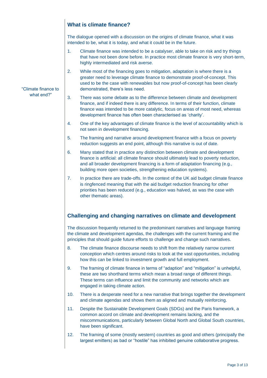# **What is climate finance?**

The dialogue opened with a discussion on the origins of climate finance, what it was intended to be, what it is today, and what it could be in the future.

- 1. Climate finance was intended to be a catalyser, able to take on risk and try things that have not been done before. In practice most climate finance is very short-term, highly intermediated and risk averse.
- 2. While most of the financing goes to mitigation, adaptation is where there is a greater need to leverage climate finance to demonstrate proof-of-concept. This used to be the case with renewables but now proof-of-concept has been clearly demonstrated, there's less need.
- 3. There was some debate as to the difference between climate and development finance, and if indeed there is any difference. In terms of their function, climate finance was intended to be more catalytic, focus on areas of most need, whereas development finance has often been characterised as 'charity'.
- 4. One of the key advantages of climate finance is the level of accountability which is not seen in development financing.
- 5. The framing and narrative around development finance with a focus on poverty reduction suggests an end point, although this narrative is out of date.
- 6. Many stated that in practice any distinction between climate and development finance is artificial: all climate finance should ultimately lead to poverty reduction, and all broader development financing is a form of adaptation financing (e.g., building more open societies, strengthening education systems).
- 7. In practice there are trade-offs. In the context of the UK aid budget climate finance is ringfenced meaning that with the aid budget reduction financing for other priorities has been reduced (e.g., education was halved, as was the case with other thematic areas).

# **Challenging and changing narratives on climate and development**

The discussion frequently returned to the predominant narratives and language framing the climate and development agendas, the challenges with the current framing and the principles that should guide future efforts to challenge and change such narratives.

- 8. The climate finance discourse needs to shift from the relatively narrow current conception which centres around risks to look at the vast opportunities, including how this can be linked to investment growth and full employment.
- 9. The framing of climate finance in terms of "adaption" and "mitigation" is unhelpful, these are two shorthand terms which mean a broad range of different things. These terms can influence and limit the community and networks which are engaged in taking climate action.
- 10. There is a desperate need for a new narrative that brings together the development and climate agendas and shows them as aligned and mutually reinforcing.
- 11. Despite the Sustainable Development Goals (SDGs) and the Paris framework, a common accord on climate and development remains lacking, and the miscommunications, particularly between Global North and Global South countries, have been significant.
- 12. The framing of some (mostly western) countries as good and others (principally the largest emitters) as bad or "hostile" has inhibited genuine collaborative progress.

#### "Climate finance to what end?"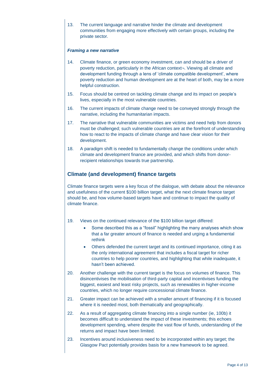13. The current language and narrative hinder the climate and development communities from engaging more effectively with certain groups, including the private sector.

#### *Framing a new narrative*

- 14. Climate finance, or green economy investment, can and should be a driver of poverty reduction, particularly in the African context¬. Viewing all climate and development funding through a lens of 'climate compatible development', where poverty reduction and human development are at the heart of both, may be a more helpful construction.
- 15. Focus should be centred on tackling climate change and its impact on people's lives, especially in the most vulnerable countries.
- 16. The current impacts of climate change need to be conveyed strongly through the narrative, including the humanitarian impacts.
- 17. The narrative that vulnerable communities are victims and need help from donors must be challenged; such vulnerable countries are at the forefront of understanding how to react to the impacts of climate change and have clear vision for their development.
- 18. A paradigm shift is needed to fundamentally change the conditions under which climate and development finance are provided, and which shifts from donorrecipient relationships towards true partnership.

### **Climate (and development) finance targets**

Climate finance targets were a key focus of the dialogue, with debate about the relevance and usefulness of the current \$100 billion target, what the next climate finance target should be, and how volume-based targets have and continue to impact the quality of climate finance.

- 19. Views on the continued relevance of the \$100 billion target differed:
	- Some described this as a "fossil" highlighting the many analyses which show that a far greater amount of finance is needed and urging a fundamental rethink
	- Others defended the current target and its continued importance, citing it as the only international agreement that includes a fiscal target for richer countries to help poorer countries, and highlighting that while inadequate, it hasn't been achieved.
- 20. Another challenge with the current target is the focus on volumes of finance. This disincentivises the mobilisation of third-party capital and incentivises funding the biggest, easiest and least risky projects, such as renewables in higher-income countries, which no longer require concessional climate finance.
- 21. Greater impact can be achieved with a smaller amount of financing if it is focused where it is needed most, both thematically and geographically.
- 22. As a result of aggregating climate financing into a single number (ie, 100b) it becomes difficult to understand the impact of these investments; this echoes development spending, where despite the vast flow of funds, understanding of the returns and impact have been limited.
- 23. Incentives around inclusiveness need to be incorporated within any target; the Glasgow Pact potentially provides basis for a new framework to be agreed.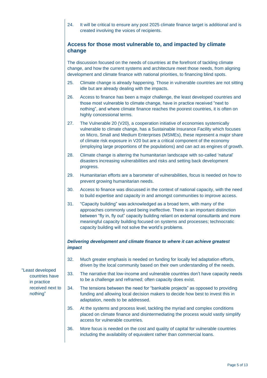24. It will be critical to ensure any post 2025 climate finance target is additional and is created involving the voices of recipients.

# **Access for those most vulnerable to, and impacted by climate change**

The discussion focused on the needs of countries at the forefront of tackling climate change, and how the current systems and architecture meet those needs, from aligning development and climate finance with national priorities, to financing blind spots.

- 25. Climate change is already happening. Those in vulnerable countries are not sitting idle but are already dealing with the impacts.
- 26. Access to finance has been a major challenge, the least developed countries and those most vulnerable to climate change, have in practice received "next to nothing", and where climate finance reaches the poorest countries, it is often on highly concessional terms.
- 27. The Vulnerable 20 (V20), a cooperation initiative of economies systemically vulnerable to climate change, has a Sustainable Insurance Facility which focuses on Micro, Small and Medium Enterprises (MSMEs), these represent a major share of climate risk exposure in V20 but are a critical component of the economy (employing large proportions of the populations) and can act as engines of growth.
- 28. Climate change is altering the humanitarian landscape with so-called 'natural' disasters increasing vulnerabilities and risks and setting back development progress.
- 29. Humanitarian efforts are a barometer of vulnerabilities, focus is needed on how to prevent growing humanitarian needs.
- 30. Access to finance was discussed in the context of national capacity, with the need to build expertise and capacity in and amongst communities to improve access.
- 31. "Capacity building" was acknowledged as a broad term, with many of the approaches commonly used being ineffective. There is an important distinction between "fly in, fly out" capacity building reliant on external consultants and more meaningful capacity building focused on systems and processes; technocratic capacity building will not solve the world's problems.

#### *Delivering development and climate finance to where it can achieve greatest impact*

- 32. Much greater emphasis is needed on funding for locally led adaptation efforts, driven by the local community based on their own understanding of the needs.
- 33. The narrative that low-income and vulnerable countries don't have capacity needs to be a challenge and reframed; often capacity does exist.
- 34. The tensions between the need for "bankable projects" as opposed to providing funding and allowing local decision makers to decide how best to invest this in adaptation, needs to be addressed.
- 35. At the systems and process level, tackling the myriad and complex conditions placed on climate finance and disintermediating the process would vastly simplify access for vulnerable countries.
- 36. More focus is needed on the cost and quality of capital for vulnerable countries including the availability of equivalent rather than commercial loans.

"Least developed countries have in practice received next to nothing"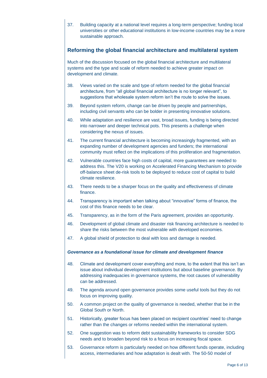37. Building capacity at a national level requires a long-term perspective; funding local universities or other educational institutions in low-income countries may be a more sustainable approach.

### **Reforming the global financial architecture and multilateral system**

Much of the discussion focused on the global financial architecture and multilateral systems and the type and scale of reform needed to achieve greater impact on development and climate.

- 38. Views varied on the scale and type of reform needed for the global financial architecture, from "all global financial architecture is no longer relevant", to suggestions that wholesale system reform isn't the route to solve the issues.
- 39. Beyond system reform, change can be driven by people and partnerships, including civil servants who can be bolder in presenting innovative solutions.
- 40. While adaptation and resilience are vast, broad issues, funding is being directed into narrower and deeper technical pots. This presents a challenge when considering the nexus of issues.
- 41. The current financial architecture is becoming increasingly fragmented, with an expanding number of development agencies and funders; the international community must reflect on the implications of this proliferation and fragmentation.
- 42. Vulnerable countries face high costs of capital, more guarantees are needed to address this. The V20 is working on Accelerated Financing Mechanism to provide off-balance sheet de-risk tools to be deployed to reduce cost of capital to build climate resilience.
- 43. There needs to be a sharper focus on the quality and effectiveness of climate finance.
- 44. Transparency is important when talking about "innovative" forms of finance, the cost of this finance needs to be clear.
- 45. Transparency, as in the form of the Paris agreement, provides an opportunity.
- 46. Development of global climate and disaster risk financing architecture is needed to share the risks between the most vulnerable with developed economies.
- 47. A global shield of protection to deal with loss and damage is needed.

#### *Governance as a foundational issue for climate and development finance*

- 48. Climate and development cover everything and more, to the extent that this isn't an issue about individual development institutions but about baseline governance. By addressing inadequacies in governance systems, the root causes of vulnerability can be addressed.
- 49. The agenda around open governance provides some useful tools but they do not focus on improving quality.
- 50. A common project on the quality of governance is needed, whether that be in the Global South or North.
- 51. Historically, greater focus has been placed on recipient countries' need to change rather than the changes or reforms needed within the international system.
- 52. One suggestion was to reform debt sustainability frameworks to consider SDG needs and to broaden beyond risk to a focus on increasing fiscal space.
- 53. Governance reform is particularly needed on how different funds operate, including access, intermediaries and how adaptation is dealt with. The 50-50 model of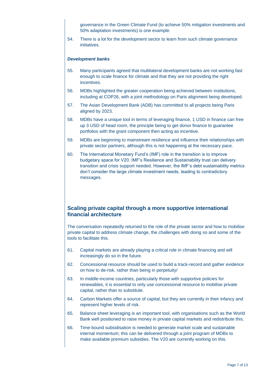governance in the Green Climate Fund (to achieve 50% mitigation investments and 50% adaptation investments) is one example.

54. There is a lot for the development sector to learn from such climate governance initiatives.

#### *Development banks*

- 55. Many participants agreed that multilateral development banks are not working fast enough to scale finance for climate and that they are not providing the right incentives.
- 56. MDBs highlighted the greater cooperation being achieved between institutions, including at COP26, with a joint methodology on Paris alignment being developed.
- 57. The Asian Development Bank (ADB) has committed to all projects being Paris aligned by 2023.
- 58. MDBs have a unique tool in terms of leveraging finance, 1 USD in finance can free up 3 USD of head room, the principle being to get donor finance to guarantee portfolios with the grant component then acting as incentive.
- 59. MDBs are beginning to mainstream resilience and influence their relationships with private sector partners, although this is not happening at the necessary pace.
- 60. The International Monetary Fund's (IMF) role in the transition is to improve budgetary space for V20. IMF's Resilience and Sustainability trust can delivery transition and crisis support needed. However, the IMF's debt sustainability metrics don't consider the large climate investment needs, leading to contradictory messages.

### **Scaling private capital through a more supportive international financial architecture**

The conversation repeatedly returned to the role of the private sector and how to mobilise private capital to address climate change, the challenges with doing so and some of the tools to facilitate this.

- 61. Capital markets are already playing a critical role in climate financing and will increasingly do so in the future.
- 62. Concessional resource should be used to build a track-record and gather evidence on how to de-risk, rather than being in perpetuity/
- 63. In middle-income countries, particularly those with supportive policies for renewables, it is essential to only use concessional resource to mobilise private capital, rather than to substitute.
- 64. Carbon Markets offer a source of capital, but they are currently in their infancy and represent higher levels of risk.
- 65. Balance sheet leveraging is an important tool, with organisations such as the World Bank well positioned to raise money in private capital markets and redistribute this.
- 66. Time-bound subsidisation is needed to generate market scale and sustainable internal momentum; this can be delivered through a joint program of MDBs to make available premium subsidies. The V20 are currently working on this.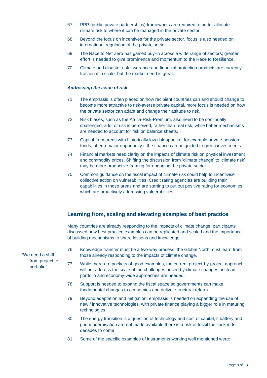|       | 67.                                 | PPP (public private partnerships) frameworks are required to better allocate<br>climate risk to where it can be managed in the private sector.                                                                                                                                                                  |
|-------|-------------------------------------|-----------------------------------------------------------------------------------------------------------------------------------------------------------------------------------------------------------------------------------------------------------------------------------------------------------------|
|       | 68.                                 | Beyond the focus on incentives for the private sector, focus is also needed on<br>international regulation of the private sector.                                                                                                                                                                               |
|       | 69.                                 | The Race to Net Zero has gained buy-in across a wide range of sectors; greater<br>effort is needed to give prominence and momentum to the Race to Resilience.                                                                                                                                                   |
|       | 70.                                 | Climate and disaster risk insurance and financial protection products are currently<br>fractional in scale, but the market need is great.                                                                                                                                                                       |
|       | <b>Addressing the issue of risk</b> |                                                                                                                                                                                                                                                                                                                 |
|       | 71.                                 | The emphasis is often placed on how recipient countries can and should change to<br>become more attractive to risk-averse private capital, more focus is needed on how<br>the private sector can adapt and change their attitude to risk.                                                                       |
|       | 72.                                 | Risk biases, such as the Africa-Risk-Premium, also need to be continually<br>challenged; a lot of risk is perceived, rather than real risk, while better mechanisms<br>are needed to account for risk on balance sheets.                                                                                        |
|       | 73.                                 | Capital from areas with historically low risk appetite, for example private pension<br>funds, offer a major opportunity if the finance can be guided to green investments.                                                                                                                                      |
|       | 74.                                 | Financial markets need clarity on the impacts of climate risk on physical investment<br>and commodity prices. Shifting the discussion from 'climate change' to 'climate risk'<br>may be more productive framing for engaging the private sector.                                                                |
|       | 75.                                 | Common guidance on the fiscal impact of climate risk could help to incentivise<br>collective action on vulnerabilities. Credit rating agencies are building their<br>capabilities in these areas and are starting to put out positive rating for economies<br>which are proactively addressing vulnerabilities. |
|       |                                     | Learning from, scaling and elevating examples of best practice                                                                                                                                                                                                                                                  |
|       |                                     | Many countries are already responding to the impacts of climate change, participants<br>discussed how best practice examples can be replicated and scaled and the importance<br>of building mechanisms to share lessons and knowledge.                                                                          |
| ift   | 76.                                 | Knowledge transfer must be a two-way process; the Global North must learn from<br>those already responding to the impacts of climate change.                                                                                                                                                                    |
| ct to | 77.                                 | While there are pockets of good examples, the current project-by-project approach<br>will not address the scale of the challenges posed by climate changes, instead<br>portfolio and economy-wide approaches are needed.                                                                                        |
|       | 78.                                 | Support is needed to expand the fiscal space so governments can make<br>fundamental changes to economies and deliver structural reform.                                                                                                                                                                         |
|       | 79.                                 | Beyond adaptation and mitigation, emphasis is needed on expanding the use of<br>new / innovative technologies, with private finance playing a bigger role in maturing<br>technologies.                                                                                                                          |
|       | 80.                                 | The energy transition is a question of technology and cost of capital, if battery and<br>grid modernisation are not made available there is a risk of fossil fuel lock-in for<br>decades to come                                                                                                                |
|       | 81.                                 | Some of the specific examples of instruments working well mentioned were:                                                                                                                                                                                                                                       |

"We need a sh from project portfolio"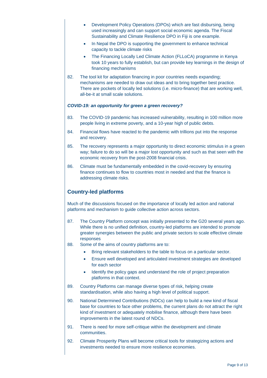- Development Policy Operations (DPOs) which are fast disbursing, being used increasingly and can support social economic agenda. The Fiscal Sustainability and Climate Resilience DPO in Fiji is one example.
- In Nepal the DPO is supporting the government to enhance technical capacity to tackle climate risks
- The Financing Locally Led Climate Action (FLLoCA) programme in Kenya took 10 years to fully establish, but can provide key learnings in the design of financing mechanisms
- 82. The tool kit for adaptation financing in poor countries needs expanding; mechanisms are needed to draw out ideas and to bring together best practice. There are pockets of locally led solutions (i.e. micro-finance) that are working well, all-be-it at small scale solutions.

#### *COVID-19: an opportunity for green a green recovery?*

- 83. The COVID-19 pandemic has increased vulnerability, resulting in 100 million more people living in extreme poverty, and a 10-year high of public debts.
- 84. Financial flows have reacted to the pandemic with trillions put into the response and recovery.
- 85. The recovery represents a major opportunity to direct economic stimulus in a green way; failure to do so will be a major lost opportunity and such as that seen with the economic recovery from the post-2008 financial crisis.
- 86. Climate must be fundamentally embedded in the covid-recovery by ensuring finance continues to flow to countries most in needed and that the finance is addressing climate risks.

# **Country-led platforms**

Much of the discussions focused on the importance of locally led action and national platforms and mechanism to guide collective action across sectors.

- 87. The Country Platform concept was initially presented to the G20 several years ago. While there is no unified definition, country-led platforms are intended to promote greater synergies between the public and private sectors to scale effective climate responses
- 88. Some of the aims of country platforms are to:
	- Bring relevant stakeholders to the table to focus on a particular sector.
	- Ensure well developed and articulated investment strategies are developed for each sector
	- Identify the policy gaps and understand the role of project preparation platforms in that context.
- 89. Country Platforms can manage diverse types of risk, helping create standardisation, while also having a high level of political support.
- 90. National Determined Contributions (NDCs) can help to build a new kind of fiscal base for countries to face other problems, the current plans do not attract the right kind of investment or adequately mobilise finance, although there have been improvements in the latest round of NDCs.
- 91. There is need for more self-critique within the development and climate communities.
- 92. Climate Prosperity Plans will become critical tools for strategizing actions and investments needed to ensure more resilience economies.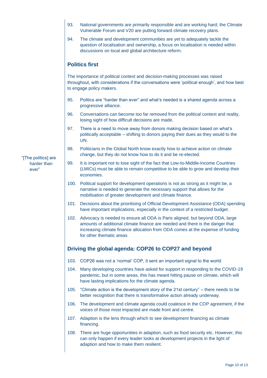- 93. National governments are primarily responsible and are working hard; the Climate Vulnerable Forum and V20 are putting forward climate recovery plans.
- 94. The climate and development communities are yet to adequately tackle the question of localisation and ownership, a focus on localisation is needed within discussions on local and global architecture reform.

## **Politics first**

The importance of political context and decision-making processes was raised throughout, with considerations if the conversations were 'political enough', and how best to engage policy makers.

- 95. Politics are "harder than ever" and what's needed is a shared agenda across a progressive alliance.
- 96. Conversations can become too far removed from the political context and reality, losing sight of how difficult decisions are made.
- 97. There is a need to move away from donors making decision based on what's politically acceptable – shifting to donors paying their dues as they would to the UN.
- 98. Politicians in the Global North know exactly how to achieve action on climate change, but they do not know how to do it and be re-elected.
- 99. It is important not to lose sight of the fact that Low-to-Middle-Income Countries (LMICs) must be able to remain competitive to be able to grow and develop their economies.
- 100. Political support for development operations is not as strong as it might be, a narrative is needed to generate the necessary support that allows for the mobilisation of greater development and climate finance.
- 101. Decisions about the prioritising of Official Development Assistance (ODA) spending have important implications, especially in the context of a restricted budget.
- 102. Advocacy is needed to ensure all ODA is Paris aligned, but beyond ODA, large amounts of additional climate finance are needed and there is the danger that increasing climate finance allocation from ODA comes at the expense of funding for other thematic areas

# **Driving the global agenda: COP26 to COP27 and beyond**

- 103. COP26 was not a 'normal' COP, it sent an important signal to the world.
- 104. Many developing countries have asked for support in responding to the COVID-19 pandemic, but in some areas, this has meant hitting pause on climate, which will have lasting implications for the climate agenda.
- 105. "Climate action is the development story of the 21st century" there needs to be better recognition that there is transformative action already underway.
- 106. The development and climate agenda could coalesce in the COP agreement, if the voices of those most impacted are made front and centre.
- 107. Adaption is the lens through which to see development financing as climate financing.
- 108. There are huge opportunities in adaption, such as food security etc. However, this can only happen if every leader looks at development projects in the light of adaption and how to make them resilient.

"[The politics] are harder than ever"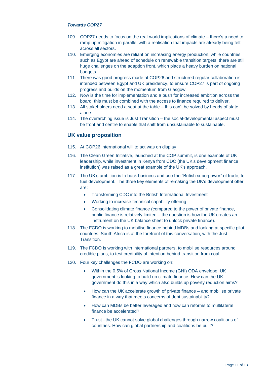### *Towards COP27*

- 109. COP27 needs to focus on the real-world implications of climate there's a need to ramp up mitigation in parallel with a realisation that impacts are already being felt across all sectors.
- 110. Emerging economies are reliant on increasing energy production, while countries such as Egypt are ahead of schedule on renewable transition targets, there are still huge challenges on the adaption front, which place a heavy burden on national budgets.
- 111. There was good progress made at COP26 and structured regular collaboration is intended between Egypt and UK presidency, to ensure COP27 is part of ongoing progress and builds on the momentum from Glasgow.
- 112. Now is the time for implementation and a push for increased ambition across the board, this must be combined with the access to finance required to deliver.
- 113. All stakeholders need a seat at the table this can't be solved by heads of state alone.
- 114. The overarching issue is Just Transition the social-developmental aspect must be front and centre to enable that shift from unsustainable to sustainable.

## **UK value proposition**

- 115. At COP26 international will to act was on display.
- 116. The Clean Green Initiative, launched at the COP summit, is one example of UK leadership, while investment in Kenya from CDC (the UK's development finance institution) was raised as a great example of the UK's approach.
- 117. The UK's ambition is to back business and use the "British superpower" of trade, to fuel development. The three key elements of remaking the UK's development offer are:
	- Transforming CDC into the British International Investment
	- Working to increase technical capability offering
	- Consolidating climate finance (compared to the power of private finance, public finance is relatively limited – the question is how the UK creates an instrument on the UK balance sheet to unlock private finance).
- 118. The FCDO is working to mobilise finance behind MDBs and looking at specific pilot countries. South Africa is at the forefront of this conversation, with the Just **Transition**
- 119. The FCDO is working with international partners, to mobilise resources around credible plans, to test credibility of intention behind transition from coal.
- 120. Four key challenges the FCDO are working on:
	- Within the 0.5% of Gross National Income (GNI) ODA envelope, UK government is looking to build up climate finance. How can the UK government do this in a way which also builds up poverty reduction aims?
	- How can the UK accelerate growth of private finance and mobilise private finance in a way that meets concerns of debt sustainability?
	- How can MDBs be better leveraged and how can reforms to multilateral finance be accelerated?
	- Trust –the UK cannot solve global challenges through narrow coalitions of countries. How can global partnership and coalitions be built?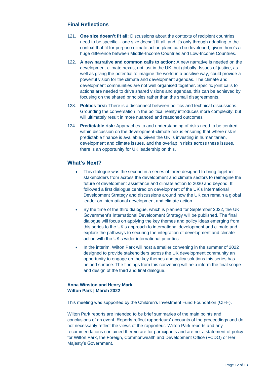### **Final Reflections**

- 121. **One size doesn't fit all:** Discussions about the contexts of recipient countries need to be specific – one size doesn't fit all, and it's only through adapting to the context that fit for purpose climate action plans can be developed, given there's a huge difference between Middle-Income Countries and Low-Income Countries.
- 122. **A new narrative and common calls to action:** A new narrative is needed on the development-climate nexus, not just in the UK, but globally. Issues of justice, as well as giving the potential to imagine the world in a positive way, could provide a powerful vision for the climate and development agendas. The climate and development communities are not well organised together. Specific joint calls to actions are needed to drive shared visions and agendas, this can be achieved by focusing on the shared principles rather than the small disagreements.
- 123. **Politics first:** There is a disconnect between politics and technical discussions. Grounding the conversation in the political reality introduces more complexity, but will ultimately result in more nuanced and reasoned outcomes
- 124. **Predictable risk:** Approaches to and understanding of risks need to be centred within discussion on the development-climate nexus ensuring that where risk is predictable finance is available. Given the UK is investing in humanitarian, development and climate issues, and the overlap in risks across these issues, there is an opportunity for UK leadership on this.

## **What's Next?**

- This dialogue was the second in a series of three designed to bring together stakeholders from across the development and climate sectors to reimagine the future of development assistance and climate action to 2030 and beyond. It followed a first dialogue centred on development of the UK's International Development Strategy and discussions around how the UK can remain a global leader on international development and climate action.
- By the time of the third dialogue, which is planned for September 2022, the UK Government's International Development Strategy will be published. The final dialogue will focus on applying the key themes and policy ideas emerging from this series to the UK's approach to international development and climate and explore the pathways to securing the integration of development and climate action with the UK's wider international priorities.
- In the interim, Wilton Park will host a smaller convening in the summer of 2022 designed to provide stakeholders across the UK development community an opportunity to engage on the key themes and policy solutions this series has helped surface. The findings from this convening will help inform the final scope and design of the third and final dialogue.

#### **Anna Winston and Henry Mark Wilton Park | March 2022**

This meeting was supported by the Children's Investment Fund Foundation (CIFF).

Wilton Park reports are intended to be brief summaries of the main points and conclusions of an event. Reports reflect rapporteurs' accounts of the proceedings and do not necessarily reflect the views of the rapporteur. Wilton Park reports and any recommendations contained therein are for participants and are not a statement of policy for Wilton Park, the Foreign, Commonwealth and Development Office (FCDO) or Her Majesty's Government.